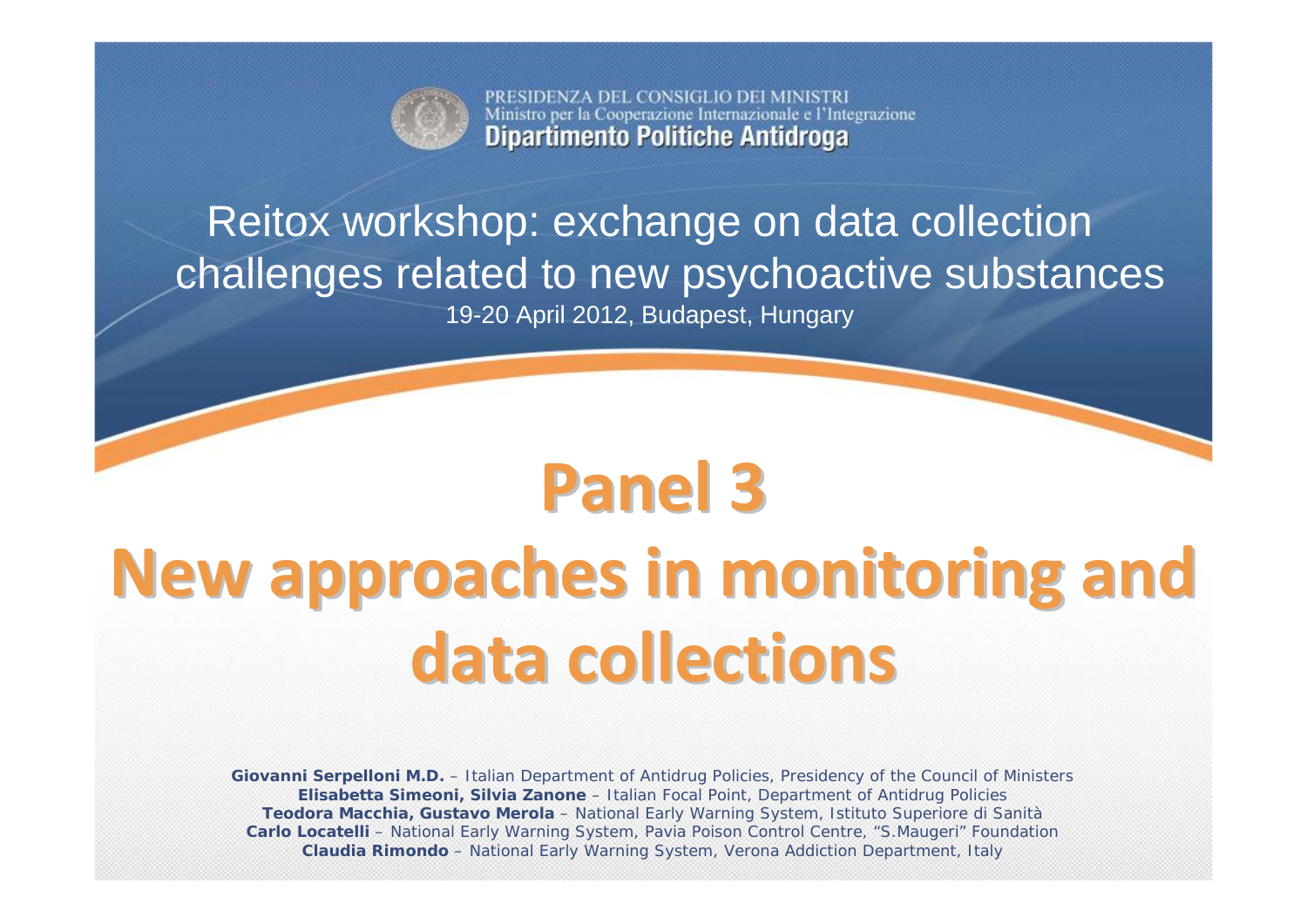

PRESIDENZA DEL CONSIGLIO DEI MINISTRI Ministro per la Cooperazione Internazionale e l'Integrazione **Dipartimento Politiche Antidroga** 

## Reitox workshop: exchange on data collection challenges related to new psychoactive substances

19-20 April 2012, Budapest, Hungary

# **Panel 3New approaches approachesin monitoring monitoring and data collections collections**

**Giovanni Serpelloni M.D.** – Italian Department of Antidrug Policies, Presidency of the Council of Ministers **Elisabetta Simeoni, Silvia Zanone** – Italian Focal Point, Department of Antidrug Policies **Teodora Macchia, Gustavo Merola** – National Early Warning System, Istituto Superiore di Sanità **Carlo Locatelli** – National Early Warning System, Pavia Poison Control Centre, "S.Maugeri" Foundation **Claudia Rimondo** – National Early Warning System, Verona Addiction Department, Italy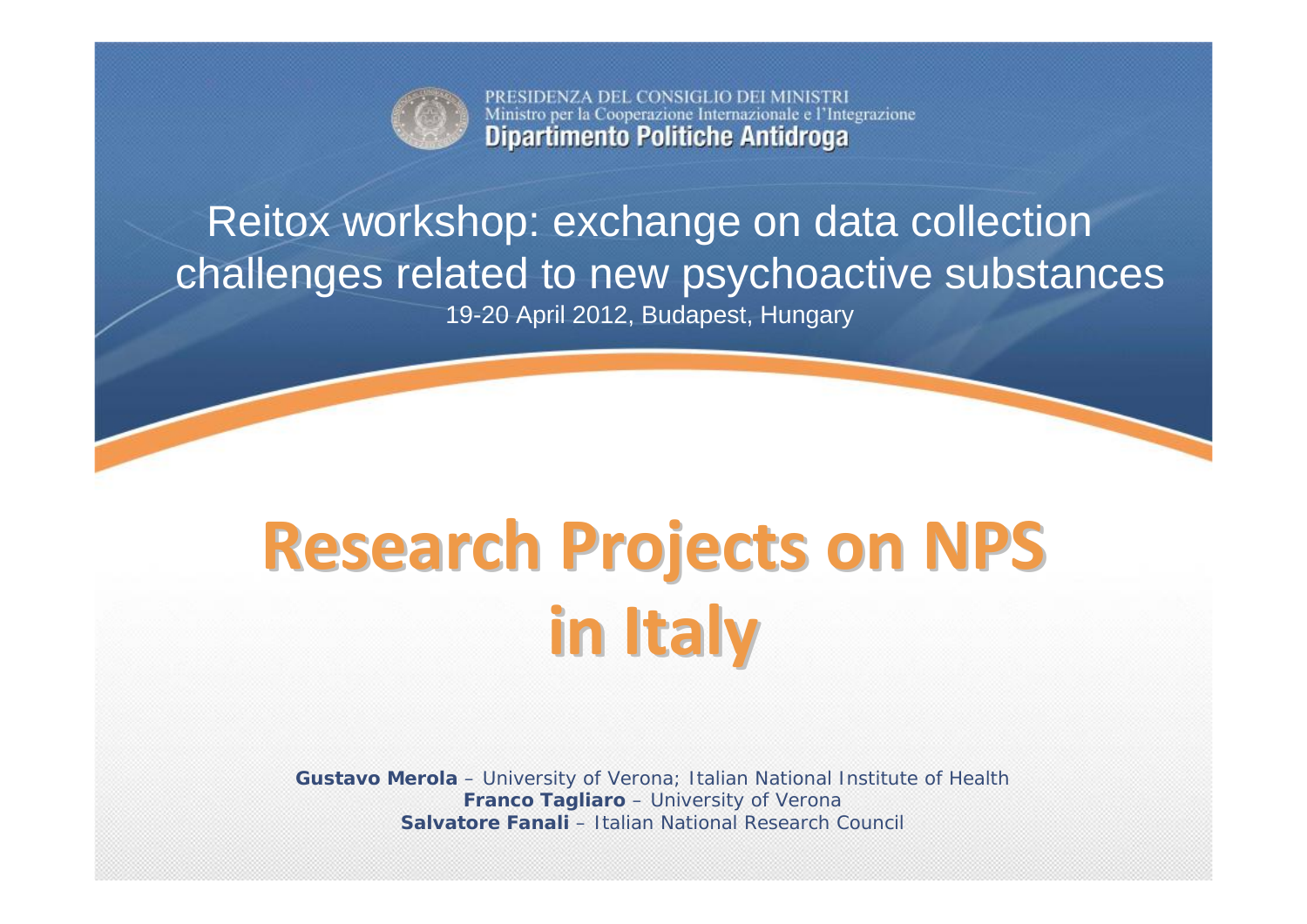

PRESIDENZA DEL CONSIGLIO DEI MINISTRI Ministro per la Cooperazione Internazionale e l'Integrazione **Dipartimento Politiche Antidroga** 

# Reitox workshop: exchange on data collection challenges related to new psychoactive substances

19-20 April 2012, Budapest, Hungary

# **Research Research Projects Projects on NPS in Italy**

**Gustavo Merola** – University of Verona; Italian National Institute of Health **Franco Tagliaro** – University of Verona **Salvatore Fanali** – Italian National Research Council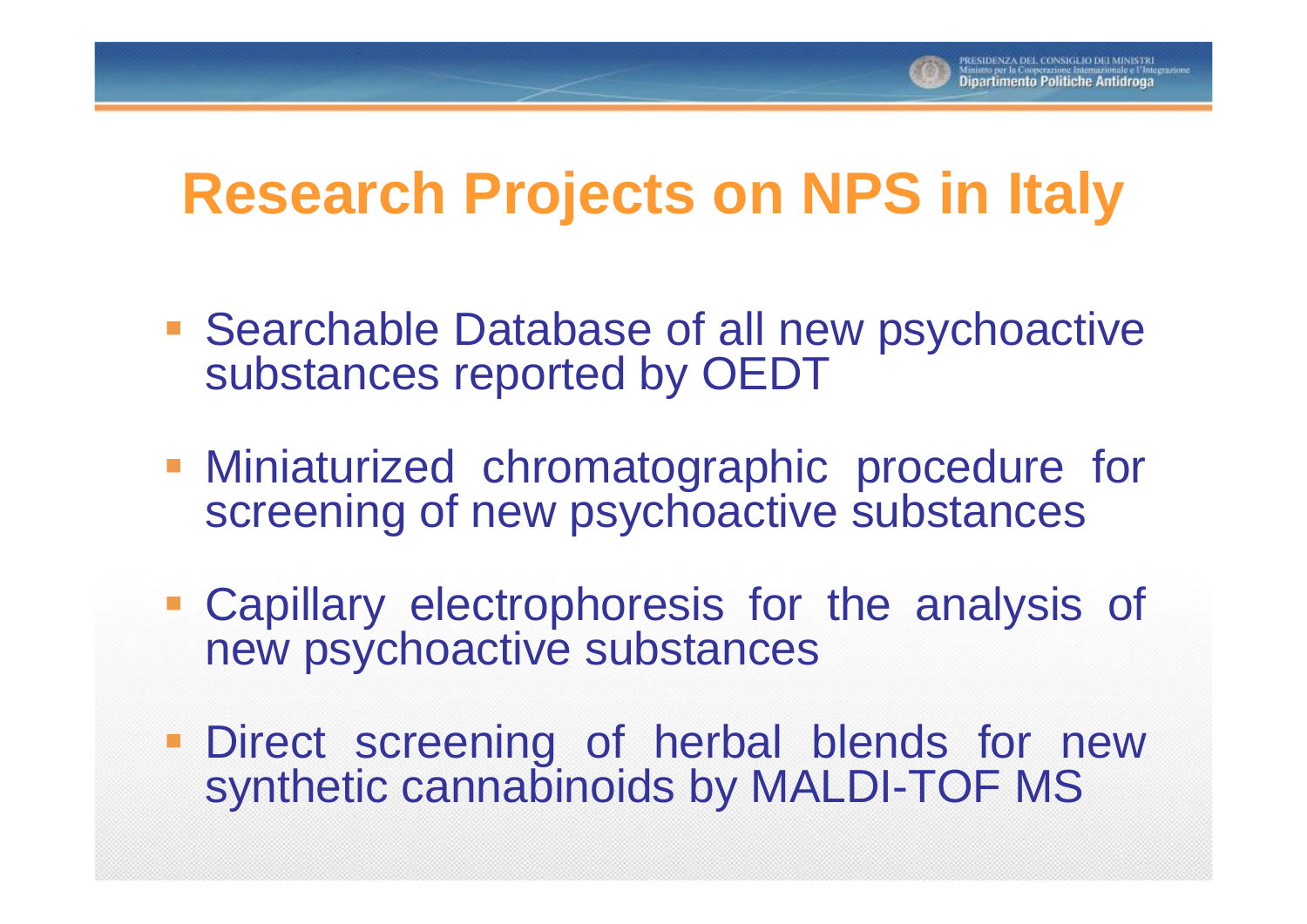

# **Research Projects on NPS in Italy**

- **Searchable Database of all new psychoactive** substances reported by OEDT
- **Miniaturized chromatographic procedure for** screening of new psychoactive substances
- Capillary electrophoresis for the analysis of new psychoactive substances
- **Direct screening of herbal blends for new** synthetic cannabinoids by MALDI-TOF MS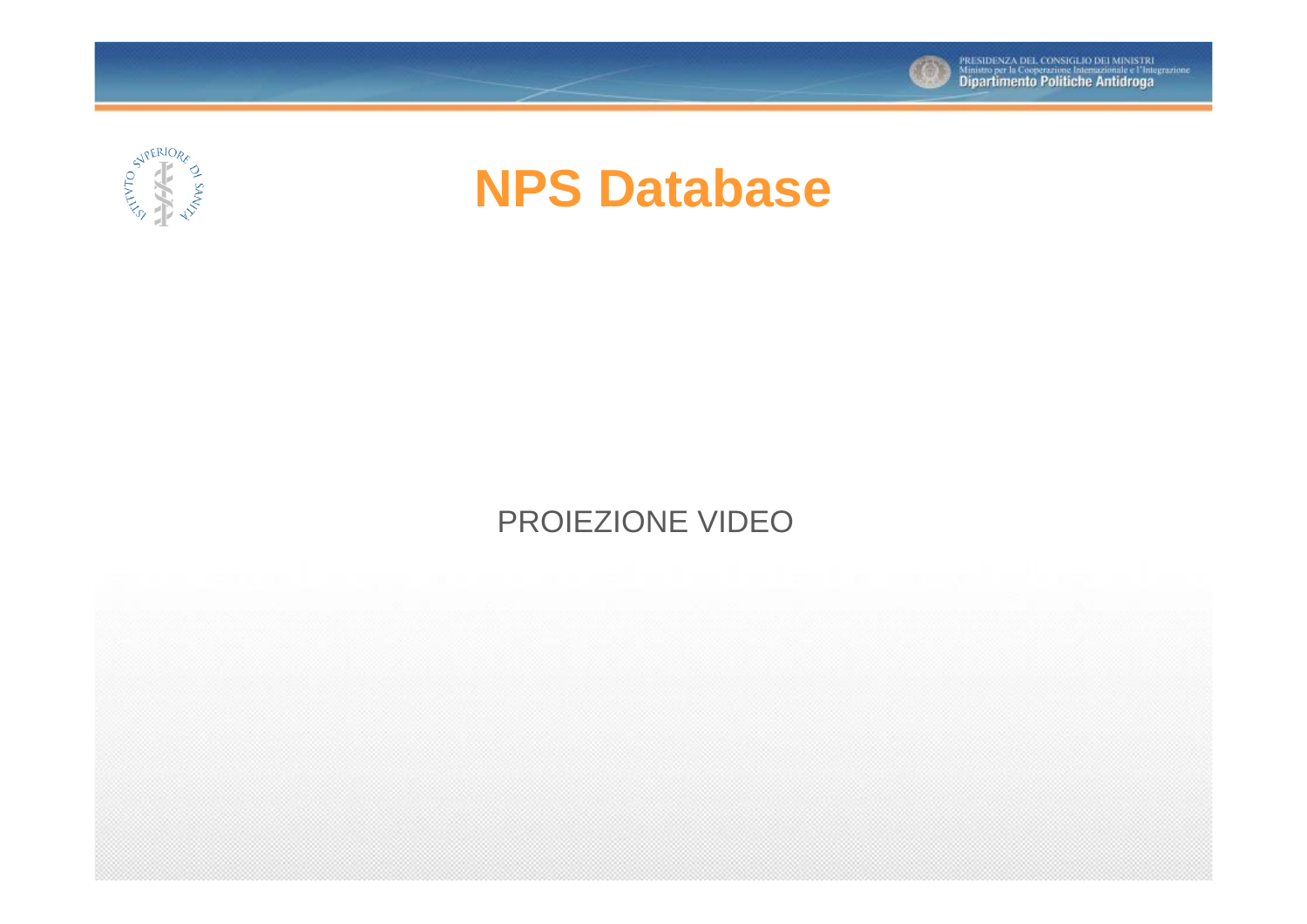



# **NPS Database**

### PROIEZIONE VIDEO

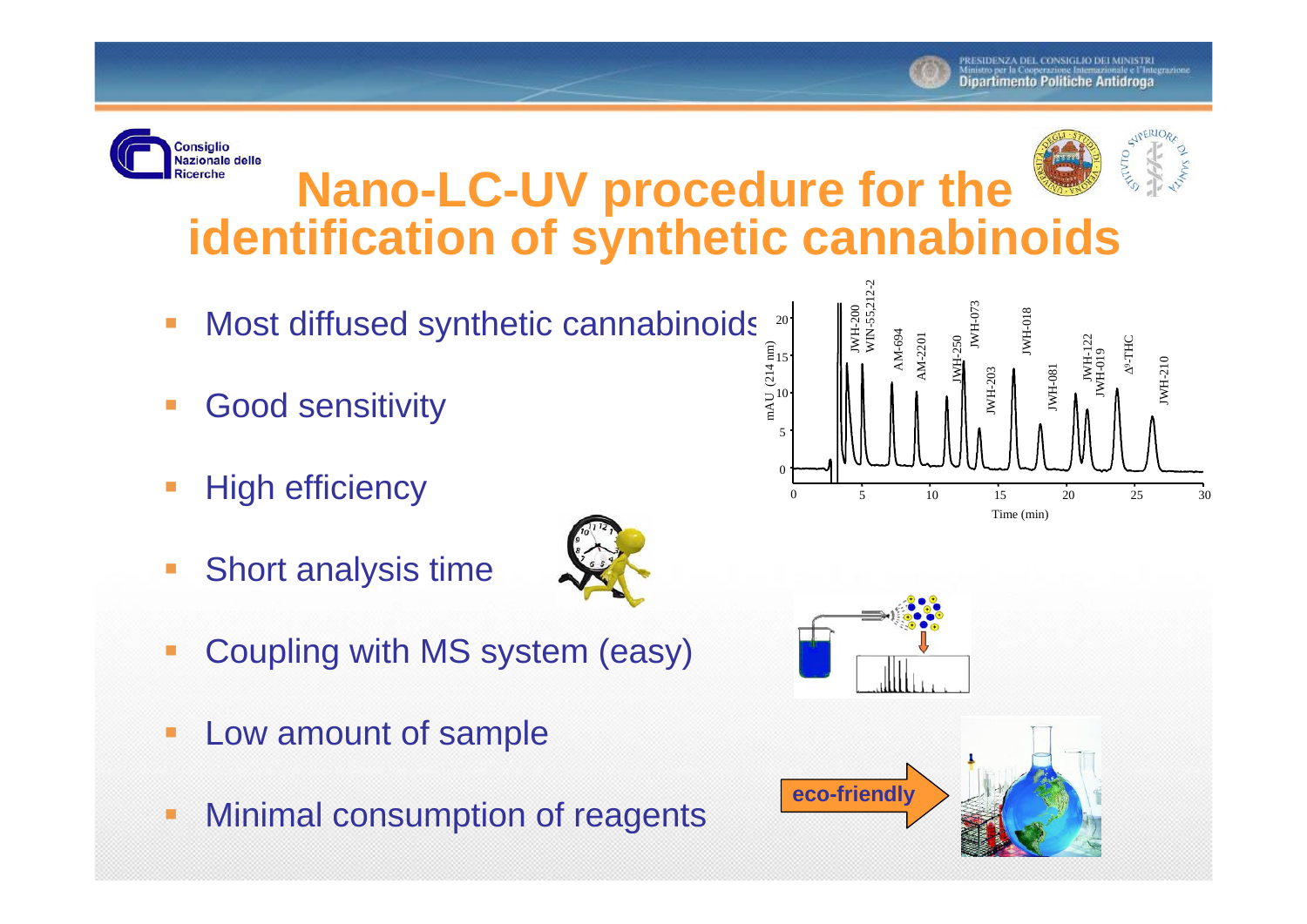

#### **Consiglio Nazionale delle Nano-LC-UV procedure for the**  Ricerche **identification of synthetic cannabinoids**

- $\overline{\mathbb{R}}$ Most diffused synthetic cannabinoids
- $\mathcal{L}_{\mathcal{A}}$ Good sensitivity
- $\overline{\mathbb{R}}$ High efficiency
- Ξ Short analysis time
- 
- $\overline{\phantom{a}}$ Coupling with MS system (easy)
- Ò Low amount of sample
- C Minimal consumption of reagents